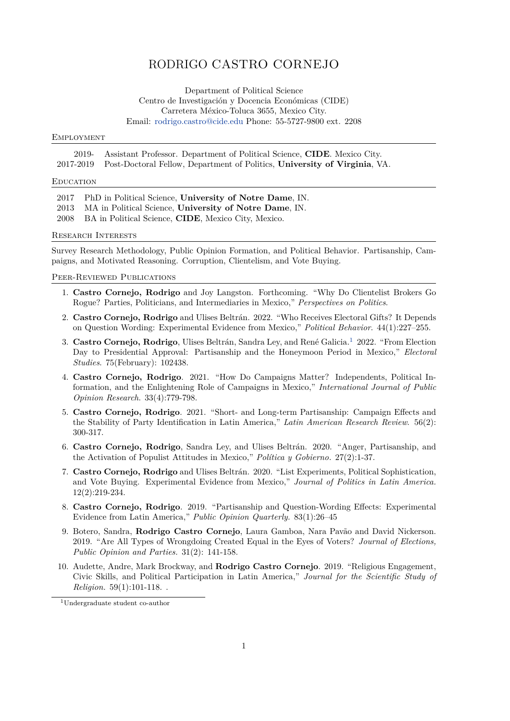# RODRIGO CASTRO CORNEJO

Department of Political Science Centro de Investigación y Docencia Económicas (CIDE) Carretera México-Toluca 3655, Mexico City. Email: [rodrigo.castro@cide.edu](mailto:rodrigo.castro@cide.edu) Phone: 55-5727-9800 ext. 2208

### **EMPLOYMENT**

2019- Assistant Professor. Department of Political Science, **CIDE**. Mexico City. 2017-2019 Post-Doctoral Fellow, Department of Politics, **University of Virginia**, VA.

### **EDUCATION**

| 2017 PhD in Political Science, University of Notre Dame, IN. |
|--------------------------------------------------------------|
| 2013 MA in Political Science, University of Notre Dame, IN.  |
| 2008 BA in Political Science, CIDE, Mexico City, Mexico.     |

#### Research Interests

Survey Research Methodology, Public Opinion Formation, and Political Behavior. Partisanship, Campaigns, and Motivated Reasoning. Corruption, Clientelism, and Vote Buying.

### Peer-Reviewed Publications

- 1. **Castro Cornejo, Rodrigo** and Joy Langston. Forthcoming. "Why Do Clientelist Brokers Go Rogue? Parties, Politicians, and Intermediaries in Mexico," *Perspectives on Politics*.
- 2. **Castro Cornejo, Rodrigo** and Ulises Beltrán. 2022. "Who Receives Electoral Gifts? It Depends on Question Wording: Experimental Evidence from Mexico," *Political Behavior*. 44(1):227–255.
- 3. **Castro Cornejo, Rodrigo**, Ulises Beltrán, Sandra Ley, and René Galicia.[1](#page-0-0) 2022. "From Election Day to Presidential Approval: Partisanship and the Honeymoon Period in Mexico," *Electoral Studies*. 75(February): 102438.
- 4. **Castro Cornejo, Rodrigo**. 2021. "How Do Campaigns Matter? Independents, Political Information, and the Enlightening Role of Campaigns in Mexico," *International Journal of Public Opinion Research*. 33(4):779-798.
- 5. **Castro Cornejo, Rodrigo**. 2021. "Short- and Long-term Partisanship: Campaign Effects and the Stability of Party Identification in Latin America," *Latin American Research Review*. 56(2): 300-317.
- 6. **Castro Cornejo, Rodrigo**, Sandra Ley, and Ulises Beltrán. 2020. "Anger, Partisanship, and the Activation of Populist Attitudes in Mexico," *Política y Gobierno.* 27(2):1-37.
- 7. **Castro Cornejo, Rodrigo** and Ulises Beltrán. 2020. "List Experiments, Political Sophistication, and Vote Buying. Experimental Evidence from Mexico," *Journal of Politics in Latin America.* 12(2):219-234.
- 8. **Castro Cornejo, Rodrigo**. 2019. "Partisanship and Question-Wording Effects: Experimental Evidence from Latin America," *Public Opinion Quarterly.* 83(1):26–45
- 9. Botero, Sandra, **Rodrigo Castro Cornejo**, Laura Gamboa, Nara Pavão and David Nickerson. 2019. "Are All Types of Wrongdoing Created Equal in the Eyes of Voters? *Journal of Elections, Public Opinion and Parties.* 31(2): 141-158.
- 10. Audette, Andre, Mark Brockway, and **Rodrigo Castro Cornejo**. 2019. "Religious Engagement, Civic Skills, and Political Participation in Latin America," *Journal for the Scientific Study of Religion.* 59(1):101-118. .

<span id="page-0-0"></span><sup>1</sup>Undergraduate student co-author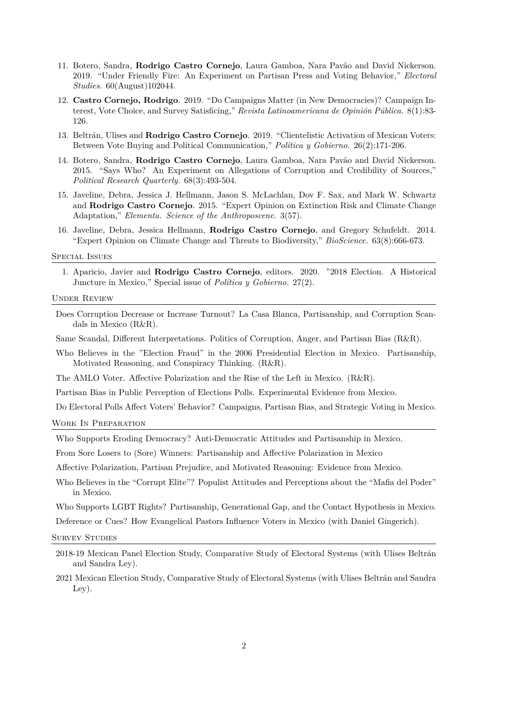- 11. Botero, Sandra, **Rodrigo Castro Cornejo**, Laura Gamboa, Nara Pavão and David Nickerson. 2019. "Under Friendly Fire: An Experiment on Partisan Press and Voting Behavior," *Electoral Studies.* 60(August)102044.
- 12. **Castro Cornejo, Rodrigo**. 2019. "Do Campaigns Matter (in New Democracies)? Campaign Interest, Vote Choice, and Survey Satisficing," *Revista Latinoamericana de Opinión Pública.* 8(1):83- 126.
- 13. Beltrán, Ulises and **Rodrigo Castro Cornejo**. 2019. "Clientelistic Activation of Mexican Voters: Between Vote Buying and Political Communication," *Política y Gobierno.* 26(2):171-206.
- 14. Botero, Sandra, **Rodrigo Castro Cornejo**, Laura Gamboa, Nara Pavão and David Nickerson. 2015. "Says Who? An Experiment on Allegations of Corruption and Credibility of Sources," *Political Research Quarterly.* 68(3):493-504.
- 15. Javeline, Debra, Jessica J. Hellmann, Jason S. McLachlan, Dov F. Sax, and Mark W. Schwartz and **Rodrigo Castro Cornejo**. 2015. "Expert Opinion on Extinction Risk and Climate Change Adaptation," *Elementa. Science of the Anthroposcene.* 3(57).
- 16. Javeline, Debra, Jessica Hellmann, **Rodrigo Castro Cornejo**, and Gregory Schufeldt. 2014. "Expert Opinion on Climate Change and Threats to Biodiversity," *BioScience.* 63(8):666-673.

### Special Issues

1. Aparicio, Javier and **Rodrigo Castro Cornejo**, editors. 2020. "2018 Election. A Historical Juncture in Mexico," Special issue of *Política y Gobierno.* 27(2).

### Under Review

- Does Corruption Decrease or Increase Turnout? La Casa Blanca, Partisanship, and Corruption Scandals in Mexico (R&R).
- Same Scandal, Different Interpretations. Politics of Corruption, Anger, and Partisan Bias (R&R).
- Who Believes in the "Election Fraud" in the 2006 Presidential Election in Mexico. Partisanship, Motivated Reasoning, and Conspiracy Thinking. (R&R).
- The AMLO Voter. Affective Polarization and the Rise of the Left in Mexico. (R&R).

Partisan Bias in Public Perception of Elections Polls. Experimental Evidence from Mexico.

Do Electoral Polls Affect Voters' Behavior? Campaigns, Partisan Bias, and Strategic Voting in Mexico.

Work In Preparation

Who Supports Eroding Democracy? Anti-Democratic Attitudes and Partisanship in Mexico.

From Sore Losers to (Sore) Winners: Partisanship and Affective Polarization in Mexico

Affective Polarization, Partisan Prejudice, and Motivated Reasoning: Evidence from Mexico.

Who Believes in the "Corrupt Elite"? Populist Attitudes and Perceptions about the "Mafia del Poder" in Mexico.

Who Supports LGBT Rights? Partisanship, Generational Gap, and the Contact Hypothesis in Mexico.

Deference or Cues? How Evangelical Pastors Influence Voters in Mexico (with Daniel Gingerich).

### SURVEY STUDIES

- 2018-19 Mexican Panel Election Study, Comparative Study of Electoral Systems (with Ulises Beltrán and Sandra Ley).
- 2021 Mexican Election Study, Comparative Study of Electoral Systems (with Ulises Beltrán and Sandra Ley).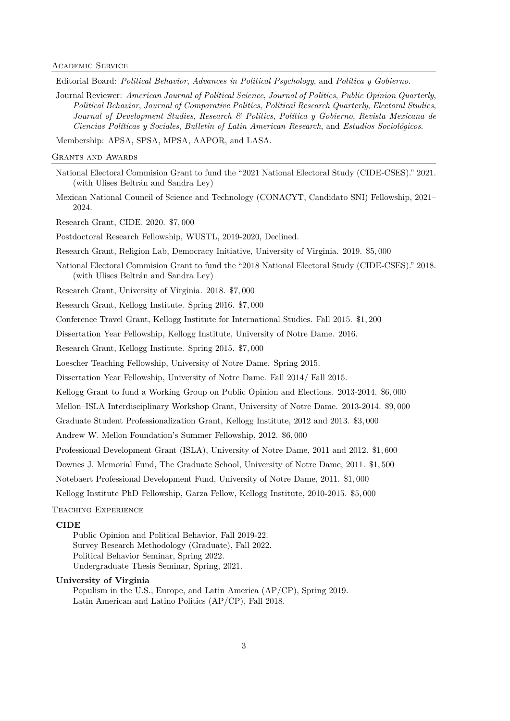Editorial Board: *Political Behavior*, *Advances in Political Psychology*, and *Política y Gobierno*.

Journal Reviewer: *American Journal of Political Science*, *Journal of Politics*, *Public Opinion Quarterly*, *Political Behavior*, *Journal of Comparative Politics*, *Political Research Quarterly*, *Electoral Studies*, *Journal of Development Studies*, *Research & Politics*, *Política y Gobierno*, *Revista Mexicana de Ciencias Políticas y Sociales*, *Bulletin of Latin American Research*, and *Estudios Sociológicos*.

Membership: APSA, SPSA, MPSA, AAPOR, and LASA.

Grants and Awards

National Electoral Commision Grant to fund the "2021 National Electoral Study (CIDE-CSES)." 2021. (with Ulises Beltrán and Sandra Ley)

Mexican National Council of Science and Technology (CONACYT, Candidato SNI) Fellowship, 2021– 2024.

Research Grant, CIDE. 2020. \$7*,* 000

Postdoctoral Research Fellowship, WUSTL, 2019-2020, Declined.

Research Grant, Religion Lab, Democracy Initiative, University of Virginia. 2019. \$5*,* 000

National Electoral Commision Grant to fund the "2018 National Electoral Study (CIDE-CSES)." 2018. (with Ulises Beltrán and Sandra Ley)

Research Grant, University of Virginia. 2018. \$7*,* 000

Research Grant, Kellogg Institute. Spring 2016. \$7*,* 000

Conference Travel Grant, Kellogg Institute for International Studies. Fall 2015. \$1*,* 200

Dissertation Year Fellowship, Kellogg Institute, University of Notre Dame. 2016.

Research Grant, Kellogg Institute. Spring 2015. \$7*,* 000

Loescher Teaching Fellowship, University of Notre Dame. Spring 2015.

Dissertation Year Fellowship, University of Notre Dame. Fall 2014/ Fall 2015.

Kellogg Grant to fund a Working Group on Public Opinion and Elections. 2013-2014. \$6*,* 000

Mellon–ISLA Interdisciplinary Workshop Grant, University of Notre Dame. 2013-2014. \$9*,* 000

Graduate Student Professionalization Grant, Kellogg Institute, 2012 and 2013. \$3*,* 000

Andrew W. Mellon Foundation's Summer Fellowship, 2012. \$6*,* 000

Professional Development Grant (ISLA), University of Notre Dame, 2011 and 2012. \$1*,* 600

Downes J. Memorial Fund, The Graduate School, University of Notre Dame, 2011. \$1*,* 500

Notebaert Professional Development Fund, University of Notre Dame, 2011. \$1*,* 000

Kellogg Institute PhD Fellowship, Garza Fellow, Kellogg Institute, 2010-2015. \$5*,* 000

## Teaching Experience

### **CIDE**

Public Opinion and Political Behavior, Fall 2019-22. Survey Research Methodology (Graduate), Fall 2022. Political Behavior Seminar, Spring 2022. Undergraduate Thesis Seminar, Spring, 2021.

### **University of Virginia**

Populism in the U.S., Europe, and Latin America (AP/CP), Spring 2019. Latin American and Latino Politics (AP/CP), Fall 2018.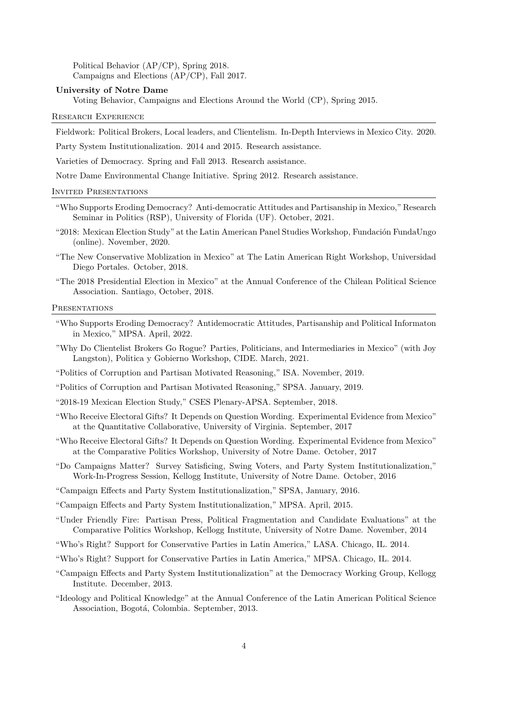Political Behavior (AP/CP), Spring 2018. Campaigns and Elections (AP/CP), Fall 2017.

### **University of Notre Dame**

Voting Behavior, Campaigns and Elections Around the World (CP), Spring 2015.

### Research Experience

Fieldwork: Political Brokers, Local leaders, and Clientelism. In-Depth Interviews in Mexico City. 2020.

Party System Institutionalization. 2014 and 2015. Research assistance.

Varieties of Democracy. Spring and Fall 2013. Research assistance.

Notre Dame Environmental Change Initiative. Spring 2012. Research assistance.

#### Invited Presentations

- "Who Supports Eroding Democracy? Anti-democratic Attitudes and Partisanship in Mexico," Research Seminar in Politics (RSP), University of Florida (UF). October, 2021.
- "2018: Mexican Election Study" at the Latin American Panel Studies Workshop, Fundación FundaUngo (online). November, 2020.
- "The New Conservative Moblization in Mexico" at The Latin American Right Workshop, Universidad Diego Portales. October, 2018.
- "The 2018 Presidential Election in Mexico" at the Annual Conference of the Chilean Political Science Association. Santiago, October, 2018.

### **PRESENTATIONS**

- "Who Supports Eroding Democracy? Antidemocratic Attitudes, Partisanship and Political Informaton in Mexico," MPSA. April, 2022.
- "Why Do Clientelist Brokers Go Rogue? Parties, Politicians, and Intermediaries in Mexico" (with Joy Langston), Politica y Gobierno Workshop, CIDE. March, 2021.

"Politics of Corruption and Partisan Motivated Reasoning," ISA. November, 2019.

"Politics of Corruption and Partisan Motivated Reasoning," SPSA. January, 2019.

"2018-19 Mexican Election Study," CSES Plenary-APSA. September, 2018.

- "Who Receive Electoral Gifts? It Depends on Question Wording. Experimental Evidence from Mexico" at the Quantitative Collaborative, University of Virginia. September, 2017
- "Who Receive Electoral Gifts? It Depends on Question Wording. Experimental Evidence from Mexico" at the Comparative Politics Workshop, University of Notre Dame. October, 2017
- "Do Campaigns Matter? Survey Satisficing, Swing Voters, and Party System Institutionalization," Work-In-Progress Session, Kellogg Institute, University of Notre Dame. October, 2016
- "Campaign Effects and Party System Institutionalization," SPSA, January, 2016.
- "Campaign Effects and Party System Institutionalization," MPSA. April, 2015.
- "Under Friendly Fire: Partisan Press, Political Fragmentation and Candidate Evaluations" at the Comparative Politics Workshop, Kellogg Institute, University of Notre Dame. November, 2014
- "Who's Right? Support for Conservative Parties in Latin America," LASA. Chicago, IL. 2014.
- "Who's Right? Support for Conservative Parties in Latin America," MPSA. Chicago, IL. 2014.
- "Campaign Effects and Party System Institutionalization" at the Democracy Working Group, Kellogg Institute. December, 2013.
- "Ideology and Political Knowledge" at the Annual Conference of the Latin American Political Science Association, Bogotá, Colombia. September, 2013.